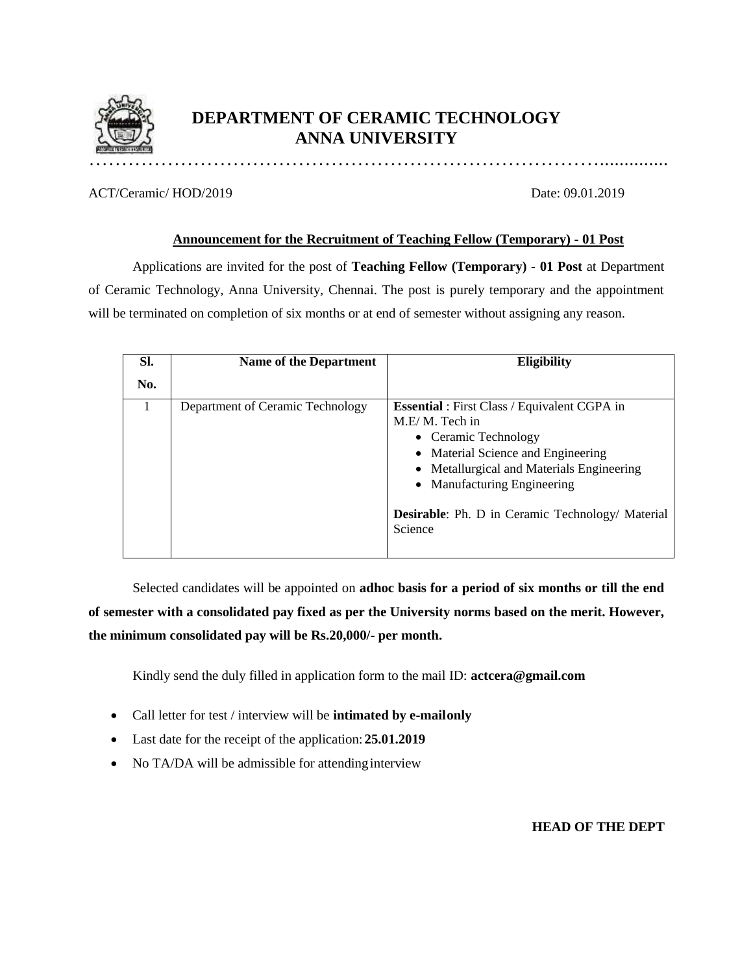

# **DEPARTMENT OF CERAMIC TECHNOLOGY ANNA UNIVERSITY**

ACT/Ceramic/ HOD/2019 Date: 09.01.2019

#### **Announcement for the Recruitment of Teaching Fellow (Temporary) - 01 Post**

Applications are invited for the post of **Teaching Fellow (Temporary) - 01 Post** at Department of Ceramic Technology, Anna University, Chennai. The post is purely temporary and the appointment will be terminated on completion of six months or at end of semester without assigning any reason.

| SI. | <b>Name of the Department</b>    | <b>Eligibility</b>                                                                                                                                                                                                                                                                    |
|-----|----------------------------------|---------------------------------------------------------------------------------------------------------------------------------------------------------------------------------------------------------------------------------------------------------------------------------------|
| No. |                                  |                                                                                                                                                                                                                                                                                       |
|     | Department of Ceramic Technology | <b>Essential</b> : First Class / Equivalent CGPA in<br>M.E/M. Tech in<br>• Ceramic Technology<br>• Material Science and Engineering<br>• Metallurgical and Materials Engineering<br>• Manufacturing Engineering<br><b>Desirable:</b> Ph. D in Ceramic Technology/ Material<br>Science |

Selected candidates will be appointed on **adhoc basis for a period of six months or till the end of semester with a consolidated pay fixed as per the University norms based on the merit. However, the minimum consolidated pay will be Rs.20,000/- per month.**

Kindly send the duly filled in application form to the mail ID: **[actcera@g](mailto:hodceramics@annauniv.edu)mail.com**

- Call letter for test / interview will be **intimated by e-mailonly**
- Last date for the receipt of the application: **25.01.2019**
- No TA/DA will be admissible for attending interview

**HEAD OF THE DEPT**